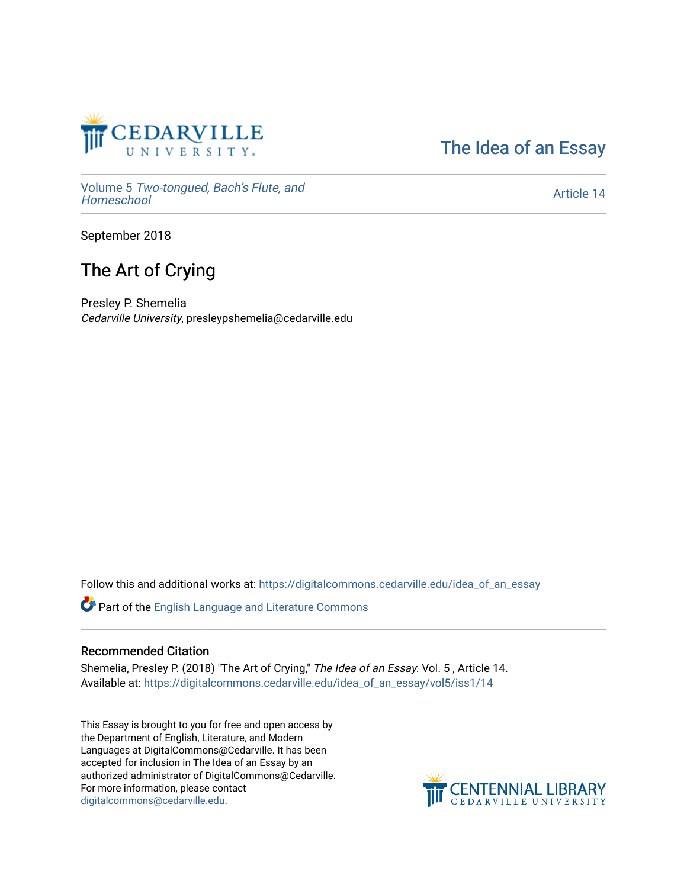

[The Idea of an Essay](https://digitalcommons.cedarville.edu/idea_of_an_essay) 

Volume 5 [Two-tongued, Bach's Flute, and](https://digitalcommons.cedarville.edu/idea_of_an_essay/vol5) [Homeschool](https://digitalcommons.cedarville.edu/idea_of_an_essay/vol5)

[Article 14](https://digitalcommons.cedarville.edu/idea_of_an_essay/vol5/iss1/14) 

September 2018

## The Art of Crying

Presley P. Shemelia Cedarville University, presleypshemelia@cedarville.edu

Follow this and additional works at: [https://digitalcommons.cedarville.edu/idea\\_of\\_an\\_essay](https://digitalcommons.cedarville.edu/idea_of_an_essay?utm_source=digitalcommons.cedarville.edu%2Fidea_of_an_essay%2Fvol5%2Fiss1%2F14&utm_medium=PDF&utm_campaign=PDFCoverPages) 

Part of the [English Language and Literature Commons](http://network.bepress.com/hgg/discipline/455?utm_source=digitalcommons.cedarville.edu%2Fidea_of_an_essay%2Fvol5%2Fiss1%2F14&utm_medium=PDF&utm_campaign=PDFCoverPages)

## Recommended Citation

Shemelia, Presley P. (2018) "The Art of Crying," The Idea of an Essay: Vol. 5 , Article 14. Available at: [https://digitalcommons.cedarville.edu/idea\\_of\\_an\\_essay/vol5/iss1/14](https://digitalcommons.cedarville.edu/idea_of_an_essay/vol5/iss1/14?utm_source=digitalcommons.cedarville.edu%2Fidea_of_an_essay%2Fvol5%2Fiss1%2F14&utm_medium=PDF&utm_campaign=PDFCoverPages) 

This Essay is brought to you for free and open access by the Department of English, Literature, and Modern Languages at DigitalCommons@Cedarville. It has been accepted for inclusion in The Idea of an Essay by an authorized administrator of DigitalCommons@Cedarville. For more information, please contact [digitalcommons@cedarville.edu](mailto:digitalcommons@cedarville.edu).

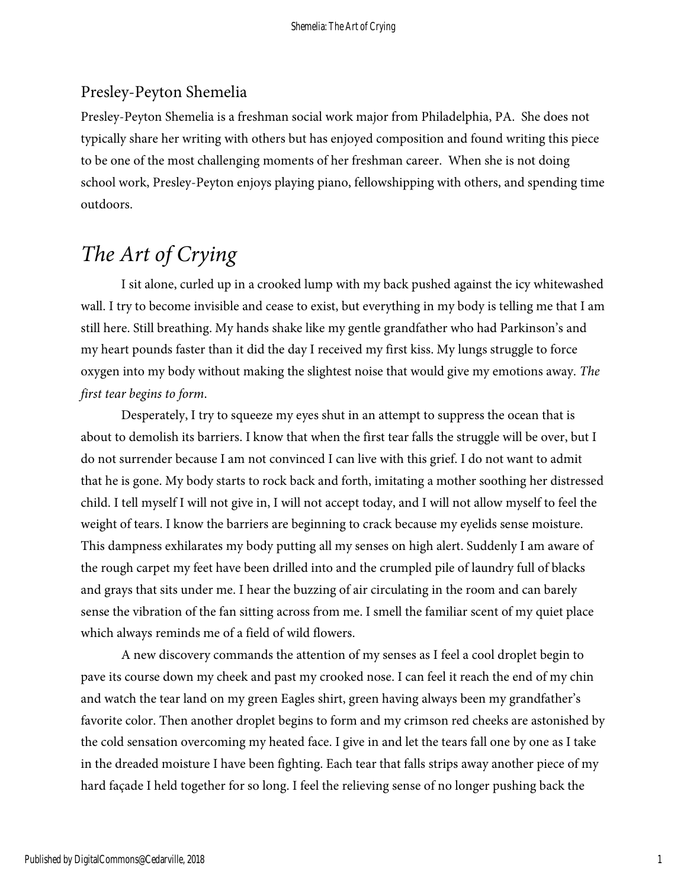## Presley-Peyton Shemelia

Presley-Peyton Shemelia is a freshman social work major from Philadelphia, PA. She does not typically share her writing with others but has enjoyed composition and found writing this piece to be one of the most challenging moments of her freshman career. When she is not doing school work, Presley-Peyton enjoys playing piano, fellowshipping with others, and spending time outdoors.

## *The Art of Crying*

I sit alone, curled up in a crooked lump with my back pushed against the icy whitewashed wall. I try to become invisible and cease to exist, but everything in my body is telling me that I am still here. Still breathing. My hands shake like my gentle grandfather who had Parkinson's and my heart pounds faster than it did the day I received my first kiss. My lungs struggle to force oxygen into my body without making the slightest noise that would give my emotions away. *The first tear begins to form*.

Desperately, I try to squeeze my eyes shut in an attempt to suppress the ocean that is about to demolish its barriers. I know that when the first tear falls the struggle will be over, but I do not surrender because I am not convinced I can live with this grief. I do not want to admit that he is gone. My body starts to rock back and forth, imitating a mother soothing her distressed child. I tell myself I will not give in, I will not accept today, and I will not allow myself to feel the weight of tears. I know the barriers are beginning to crack because my eyelids sense moisture. This dampness exhilarates my body putting all my senses on high alert. Suddenly I am aware of the rough carpet my feet have been drilled into and the crumpled pile of laundry full of blacks and grays that sits under me. I hear the buzzing of air circulating in the room and can barely sense the vibration of the fan sitting across from me. I smell the familiar scent of my quiet place which always reminds me of a field of wild flowers.

A new discovery commands the attention of my senses as I feel a cool droplet begin to pave its course down my cheek and past my crooked nose. I can feel it reach the end of my chin and watch the tear land on my green Eagles shirt, green having always been my grandfather's favorite color. Then another droplet begins to form and my crimson red cheeks are astonished by the cold sensation overcoming my heated face. I give in and let the tears fall one by one as I take in the dreaded moisture I have been fighting. Each tear that falls strips away another piece of my hard façade I held together for so long. I feel the relieving sense of no longer pushing back the